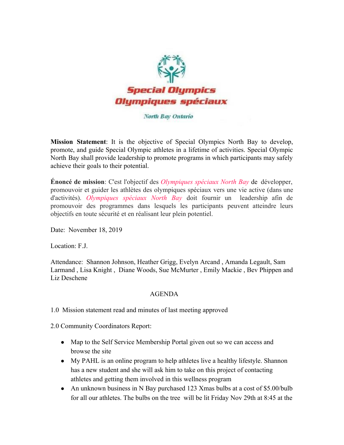

## North Bay Ontario

**Mission Statement**: It is the objective of Special Olympics North Bay to develop, promote, and guide Special Olympic athletes in a lifetime of activities. Special Olympic North Bay shall provide leadership to promote programs in which participants may safely achieve their goals to their potential.

**Énoncé de mission**: C'est l'objectif des *Olympiques spéciaux North Bay* de développer, promouvoir et guider les athlètes des olympiques spéciaux vers une vie active (dans une d'activités). *Olympiques spéciaux North Bay* doit fournir un leadership afin de promouvoir des programmes dans lesquels les participants peuvent atteindre leurs objectifs en toute sécurité et en réalisant leur plein potentiel.

Date: November 18, 2019

Location: F.J.

Attendance: Shannon Johnson, Heather Grigg, Evelyn Arcand , Amanda Legault, Sam Larmand , Lisa Knight , Diane Woods, Sue McMurter , Emily Mackie , Bev Phippen and Liz Deschene

## AGENDA

1.0 Mission statement read and minutes of last meeting approved

2.0 Community Coordinators Report:

- Map to the Self Service Membership Portal given out so we can access and browse the site
- My PAHL is an online program to help athletes live a healthy lifestyle. Shannon has a new student and she will ask him to take on this project of contacting athletes and getting them involved in this wellness program
- An unknown business in N Bay purchased 123 Xmas bulbs at a cost of \$5.00/bulb for all our athletes. The bulbs on the tree will be lit Friday Nov 29th at 8:45 at the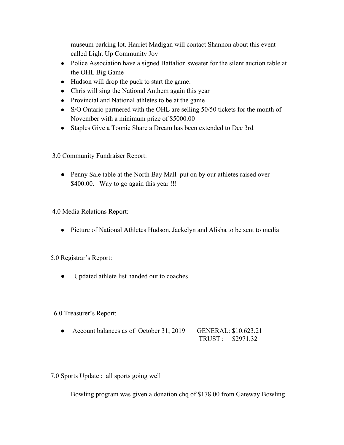museum parking lot. Harriet Madigan will contact Shannon about this event called Light Up Community Joy

- Police Association have a signed Battalion sweater for the silent auction table at the OHL Big Game
- Hudson will drop the puck to start the game.
- Chris will sing the National Anthem again this year
- Provincial and National athletes to be at the game
- S/O Ontario partnered with the OHL are selling 50/50 tickets for the month of November with a minimum prize of \$5000.00
- Staples Give a Toonie Share a Dream has been extended to Dec 3rd
- 3.0 Community Fundraiser Report:
	- Penny Sale table at the North Bay Mall put on by our athletes raised over \$400.00. Way to go again this year !!!

4.0 Media Relations Report:

• Picture of National Athletes Hudson, Jackelyn and Alisha to be sent to media

## 5.0 Registrar's Report:

● Updated athlete list handed out to coaches

## 6.0 Treasurer's Report:

- Account balances as of October 31, 2019 GENERAL: \$10.623.21 TRUST : \$2971.32
- 7.0 Sports Update : all sports going well

Bowling program was given a donation chq of \$178.00 from Gateway Bowling